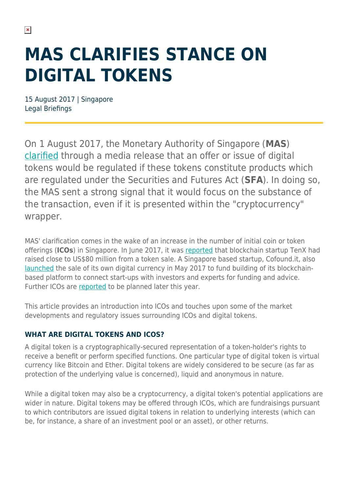# **MAS CLARIFIES STANCE ON DIGITAL TOKENS**

15 August 2017 | Singapore Legal Briefings

On 1 August 2017, the Monetary Authority of Singapore (**MAS**) [clarified](http://www.mas.gov.sg/News-and-Publications/Media-Releases/2017/MAS-clarifies-regulatory-position-on-the-offer-of-digital-tokens-in-Singapore.aspx) through a media release that an offer or issue of digital tokens would be regulated if these tokens constitute products which are regulated under the Securities and Futures Act (**SFA**). In doing so, the MAS sent a strong signal that it would focus on the substance of the transaction, even if it is presented within the "cryptocurrency" wrapper.

MAS' clarification comes in the wake of an increase in the number of initial coin or token offerings (**ICOs**) in Singapore. In June 2017, it was [reported](https://www.techinasia.com/tenx-crosscoin-ico) that blockchain startup TenX had raised close to US\$80 million from a token sale. A Singapore based startup, Cofound.it, also [launched](http://www.reuters.com/article/cofoundit-blockchain-funding-idUSL1N1ID14Z) the sale of its own digital currency in May 2017 to fund building of its blockchainbased platform to connect start-ups with investors and experts for funding and advice. Further ICOs are [reported](https://tokenmarket.net/ico-calendar) to be planned later this year.

This article provides an introduction into ICOs and touches upon some of the market developments and regulatory issues surrounding ICOs and digital tokens.

#### **WHAT ARE DIGITAL TOKENS AND ICOS?**

A digital token is a cryptographically-secured representation of a token-holder's rights to receive a benefit or perform specified functions. One particular type of digital token is virtual currency like Bitcoin and Ether. Digital tokens are widely considered to be secure (as far as protection of the underlying value is concerned), liquid and anonymous in nature.

While a digital token may also be a cryptocurrency, a digital token's potential applications are wider in nature. Digital tokens may be offered through ICOs, which are fundraisings pursuant to which contributors are issued digital tokens in relation to underlying interests (which can be, for instance, a share of an investment pool or an asset), or other returns.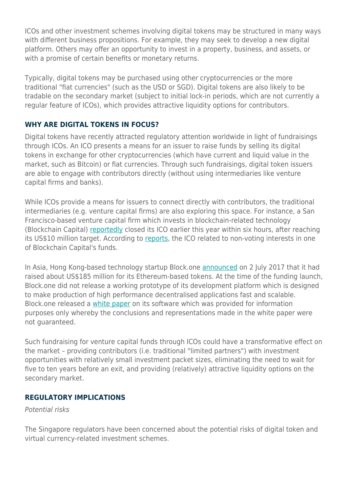ICOs and other investment schemes involving digital tokens may be structured in many ways with different business propositions. For example, they may seek to develop a new digital platform. Others may offer an opportunity to invest in a property, business, and assets, or with a promise of certain benefits or monetary returns.

Typically, digital tokens may be purchased using other cryptocurrencies or the more traditional "fiat currencies" (such as the USD or SGD). Digital tokens are also likely to be tradable on the secondary market (subject to initial lock-in periods, which are not currently a regular feature of ICOs), which provides attractive liquidity options for contributors.

#### **WHY ARE DIGITAL TOKENS IN FOCUS?**

Digital tokens have recently attracted regulatory attention worldwide in light of fundraisings through ICOs. An ICO presents a means for an issuer to raise funds by selling its digital tokens in exchange for other cryptocurrencies (which have current and liquid value in the market, such as Bitcoin) or fiat currencies. Through such fundraisings, digital token issuers are able to engage with contributors directly (without using intermediaries like venture capital firms and banks).

While ICOs provide a means for issuers to connect directly with contributors, the traditional intermediaries (e.g. venture capital firms) are also exploring this space. For instance, a San Francisco-based venture capital firm which invests in blockchain-related technology (Blockchain Capital) [reportedly](https://www.cnbc.com/2017/04/20/reuters-america-us-venture-capital-firm-raises-10-million-in-six-hour-token-sale.html) closed its ICO earlier this year within six hours, after reaching its US\$10 million target. According to [reports](http://www.the-blockchain.com/2017/04/11/blockchain-capital-closes-ico-10-million-in-six-hours-raised-in-record-time/), the ICO related to non-voting interests in one of Blockchain Capital's funds.

In Asia, Hong Kong-based technology startup Block.one [announced](https://www.techinasia.com/hong-kong-company-raises-185m-recordbreaking-initial-coin-offering) on 2 July 2017 that it had raised about US\$185 million for its Ethereum-based tokens. At the time of the funding launch, Block.one did not release a working prototype of its development platform which is designed to make production of high performance decentralised applications fast and scalable. Block.one released a [white paper](https://github.com/EOSIO/Documentation/blob/master/TechnicalWhitePaper.md) on its software which was provided for information purposes only whereby the conclusions and representations made in the white paper were not guaranteed.

Such fundraising for venture capital funds through ICOs could have a transformative effect on the market – providing contributors (i.e. traditional "limited partners") with investment opportunities with relatively small investment packet sizes, eliminating the need to wait for five to ten years before an exit, and providing (relatively) attractive liquidity options on the secondary market.

#### **REGULATORY IMPLICATIONS**

Potential risks

The Singapore regulators have been concerned about the potential risks of digital token and virtual currency-related investment schemes.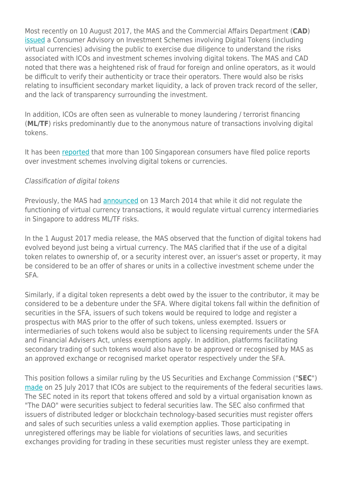Most recently on 10 August 2017, the MAS and the Commercial Affairs Department (**CAD**) [issued](http://www.mas.gov.sg/News-and-Publications/Media-Releases/2017/Consumer-Advisory-on-Investment-Schemes-Involving-Digital-Tokens.aspx) a Consumer Advisory on Investment Schemes involving Digital Tokens (including virtual currencies) advising the public to exercise due diligence to understand the risks associated with ICOs and investment schemes involving digital tokens. The MAS and CAD noted that there was a heightened risk of fraud for foreign and online operators, as it would be difficult to verify their authenticity or trace their operators. There would also be risks relating to insufficient secondary market liquidity, a lack of proven track record of the seller, and the lack of transparency surrounding the investment.

In addition, ICOs are often seen as vulnerable to money laundering / terrorist financing (**ML/TF**) risks predominantly due to the anonymous nature of transactions involving digital tokens.

It has been [reported](http://www.straitstimes.com/singapore/investors-warned-of-risks-in-digital-token-schemes) that more than 100 Singaporean consumers have filed police reports over investment schemes involving digital tokens or currencies.

#### Classification of digital tokens

Previously, the MAS had [announced](http://www.mas.gov.sg/news-and-publications/media-releases/2014/mas-to-regulate-virtual-currency-intermediaries-for-money-laundering-and-terrorist-financing-risks.aspx) on 13 March 2014 that while it did not regulate the functioning of virtual currency transactions, it would regulate virtual currency intermediaries in Singapore to address ML/TF risks.

In the 1 August 2017 media release, the MAS observed that the function of digital tokens had evolved beyond just being a virtual currency. The MAS clarified that if the use of a digital token relates to ownership of, or a security interest over, an issuer's asset or property, it may be considered to be an offer of shares or units in a collective investment scheme under the SFA.

Similarly, if a digital token represents a debt owed by the issuer to the contributor, it may be considered to be a debenture under the SFA. Where digital tokens fall within the definition of securities in the SFA, issuers of such tokens would be required to lodge and register a prospectus with MAS prior to the offer of such tokens, unless exempted. Issuers or intermediaries of such tokens would also be subject to licensing requirements under the SFA and Financial Advisers Act, unless exemptions apply. In addition, platforms facilitating secondary trading of such tokens would also have to be approved or recognised by MAS as an approved exchange or recognised market operator respectively under the SFA.

This position follows a similar ruling by the US Securities and Exchange Commission ("**SEC**") [made](http://www.sec.gov/litigation/investreport/34-81207.pdf) on 25 July 2017 that ICOs are subject to the requirements of the federal securities laws. The SEC noted in its report that tokens offered and sold by a virtual organisation known as "The DAO" were securities subject to federal securities law. The SEC also confirmed that issuers of distributed ledger or blockchain technology-based securities must register offers and sales of such securities unless a valid exemption applies. Those participating in unregistered offerings may be liable for violations of securities laws, and securities exchanges providing for trading in these securities must register unless they are exempt.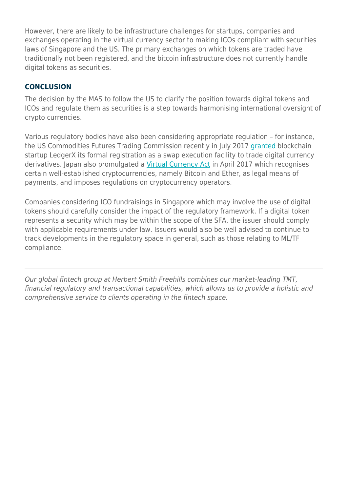However, there are likely to be infrastructure challenges for startups, companies and exchanges operating in the virtual currency sector to making ICOs compliant with securities laws of Singapore and the US. The primary exchanges on which tokens are traded have traditionally not been registered, and the bitcoin infrastructure does not currently handle digital tokens as securities.

#### **CONCLUSION**

The decision by the MAS to follow the US to clarify the position towards digital tokens and ICOs and regulate them as securities is a step towards harmonising international oversight of crypto currencies.

Various regulatory bodies have also been considering appropriate regulation – for instance, the US Commodities Futures Trading Commission recently in July 2017 [granted](http://www.cftc.gov/PressRoom/PressReleases/pr7584-17) blockchain startup LedgerX its formal registration as a swap execution facility to trade digital currency derivatives. Japan also promulgated a [Virtual Currency Act](http://www.fsa.go.jp/news/28/ginkou/20170324-1.html) in April 2017 which recognises certain well-established cryptocurrencies, namely Bitcoin and Ether, as legal means of payments, and imposes regulations on cryptocurrency operators.

Companies considering ICO fundraisings in Singapore which may involve the use of digital tokens should carefully consider the impact of the regulatory framework. If a digital token represents a security which may be within the scope of the SFA, the issuer should comply with applicable requirements under law. Issuers would also be well advised to continue to track developments in the regulatory space in general, such as those relating to ML/TF compliance.

Our global fintech group at Herbert Smith Freehills combines our market-leading TMT, financial regulatory and transactional capabilities, which allows us to provide a holistic and comprehensive service to clients operating in the fintech space.